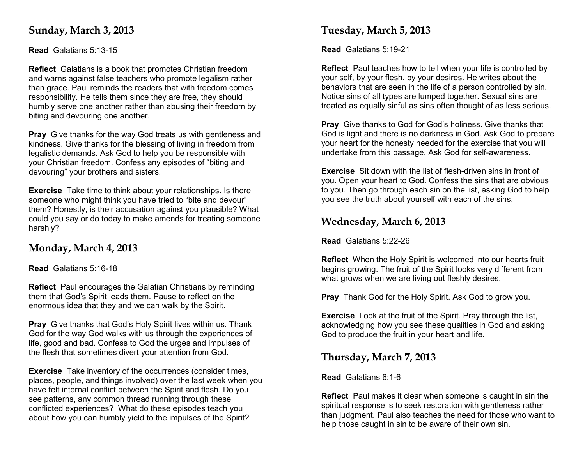## **Sunday, March 3, 2013**

**Read** Galatians 5:13-15

**Reflect** Galatians is a book that promotes Christian freedom and warns against false teachers who promote legalism rather than grace. Paul reminds the readers that with freedom comes responsibility. He tells them since they are free, they should humbly serve one another rather than abusing their freedom by biting and devouring one another.

**Pray** Give thanks for the way God treats us with gentleness and kindness. Give thanks for the blessing of living in freedom from legalistic demands. Ask God to help you be responsible with your Christian freedom. Confess any episodes of "biting and devouring" your brothers and sisters.

**Exercise** Take time to think about your relationships. Is there someone who might think you have tried to "bite and devour" them? Honestly, is their accusation against you plausible? What could you say or do today to make amends for treating someone harshly?

## **Monday, March 4, 2013**

**Read** Galatians 5:16-18

**Reflect** Paul encourages the Galatian Christians by reminding them that God's Spirit leads them. Pause to reflect on the enormous idea that they and we can walk by the Spirit.

**Pray** Give thanks that God's Holy Spirit lives within us. Thank God for the way God walks with us through the experiences of life, good and bad. Confess to God the urges and impulses of the flesh that sometimes divert your attention from God.

**Exercise** Take inventory of the occurrences (consider times, places, people, and things involved) over the last week when you have felt internal conflict between the Spirit and flesh. Do you see patterns, any common thread running through these conflicted experiences? What do these episodes teach you about how you can humbly yield to the impulses of the Spirit?

## **Tuesday, March 5, 2013**

**Read** Galatians 5:19-21

**Reflect** Paul teaches how to tell when your life is controlled by your self, by your flesh, by your desires. He writes about the behaviors that are seen in the life of a person controlled by sin. Notice sins of all types are lumped together. Sexual sins are treated as equally sinful as sins often thought of as less serious.

**Pray** Give thanks to God for God's holiness. Give thanks that God is light and there is no darkness in God. Ask God to prepare your heart for the honesty needed for the exercise that you will undertake from this passage. Ask God for self-awareness.

**Exercise** Sit down with the list of flesh-driven sins in front of you. Open your heart to God. Confess the sins that are obvious to you. Then go through each sin on the list, asking God to help you see the truth about yourself with each of the sins.

## **Wednesday, March 6, 2013**

**Read** Galatians 5:22-26

**Reflect** When the Holy Spirit is welcomed into our hearts fruit begins growing. The fruit of the Spirit looks very different from what grows when we are living out fleshly desires.

**Pray** Thank God for the Holy Spirit. Ask God to grow you.

**Exercise** Look at the fruit of the Spirit. Pray through the list, acknowledging how you see these qualities in God and asking God to produce the fruit in your heart and life.

## **Thursday, March 7, 2013**

**Read** Galatians 6:1-6

**Reflect** Paul makes it clear when someone is caught in sin the spiritual response is to seek restoration with gentleness rather than judgment. Paul also teaches the need for those who want to help those caught in sin to be aware of their own sin.